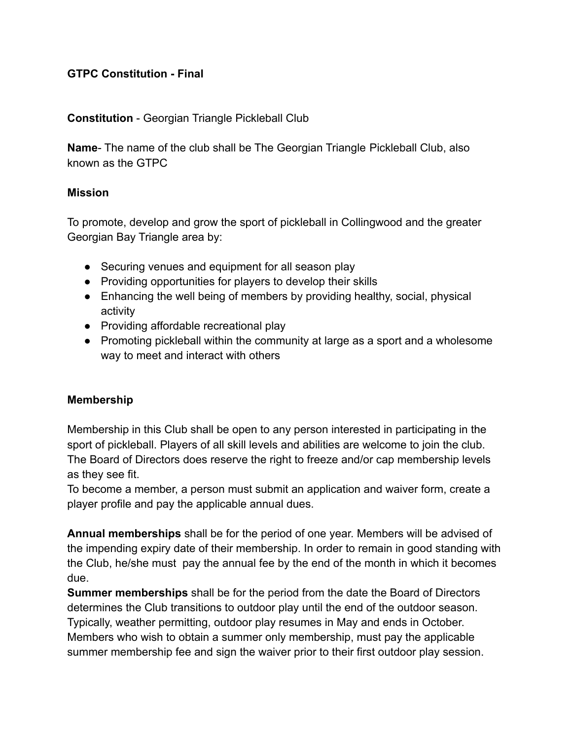## **GTPC Constitution - Final**

#### **Constitution** - Georgian Triangle Pickleball Club

**Name**- The name of the club shall be The Georgian Triangle Pickleball Club, also known as the GTPC

#### **Mission**

To promote, develop and grow the sport of pickleball in Collingwood and the greater Georgian Bay Triangle area by:

- Securing venues and equipment for all season play
- Providing opportunities for players to develop their skills
- Enhancing the well being of members by providing healthy, social, physical activity
- Providing affordable recreational play
- Promoting pickleball within the community at large as a sport and a wholesome way to meet and interact with others

## **Membership**

Membership in this Club shall be open to any person interested in participating in the sport of pickleball. Players of all skill levels and abilities are welcome to join the club. The Board of Directors does reserve the right to freeze and/or cap membership levels as they see fit.

To become a member, a person must submit an application and waiver form, create a player profile and pay the applicable annual dues.

**Annual memberships** shall be for the period of one year. Members will be advised of the impending expiry date of their membership. In order to remain in good standing with the Club, he/she must pay the annual fee by the end of the month in which it becomes due.

**Summer memberships** shall be for the period from the date the Board of Directors determines the Club transitions to outdoor play until the end of the outdoor season. Typically, weather permitting, outdoor play resumes in May and ends in October. Members who wish to obtain a summer only membership, must pay the applicable summer membership fee and sign the waiver prior to their first outdoor play session.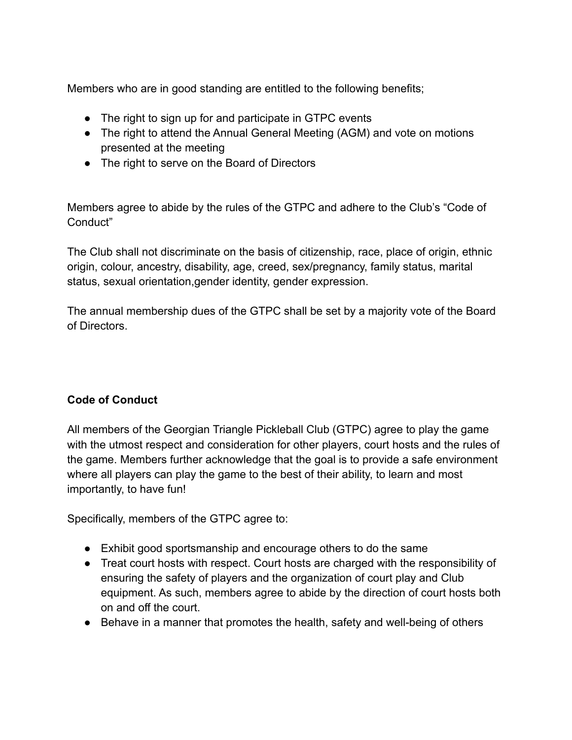Members who are in good standing are entitled to the following benefits;

- The right to sign up for and participate in GTPC events
- The right to attend the Annual General Meeting (AGM) and vote on motions presented at the meeting
- The right to serve on the Board of Directors

Members agree to abide by the rules of the GTPC and adhere to the Club's "Code of Conduct"

The Club shall not discriminate on the basis of citizenship, race, place of origin, ethnic origin, colour, ancestry, disability, age, creed, sex/pregnancy, family status, marital status, sexual orientation,gender identity, gender expression.

The annual membership dues of the GTPC shall be set by a majority vote of the Board of Directors.

## **Code of Conduct**

All members of the Georgian Triangle Pickleball Club (GTPC) agree to play the game with the utmost respect and consideration for other players, court hosts and the rules of the game. Members further acknowledge that the goal is to provide a safe environment where all players can play the game to the best of their ability, to learn and most importantly, to have fun!

Specifically, members of the GTPC agree to:

- Exhibit good sportsmanship and encourage others to do the same
- Treat court hosts with respect. Court hosts are charged with the responsibility of ensuring the safety of players and the organization of court play and Club equipment. As such, members agree to abide by the direction of court hosts both on and off the court.
- Behave in a manner that promotes the health, safety and well-being of others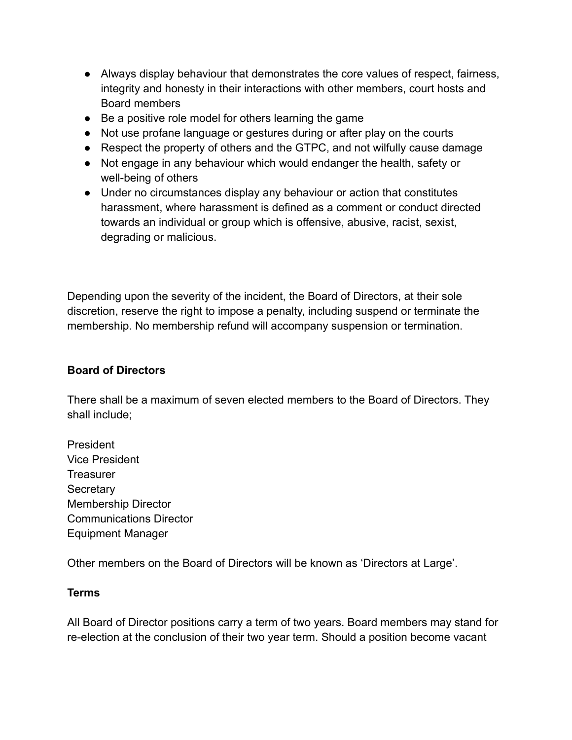- Always display behaviour that demonstrates the core values of respect, fairness, integrity and honesty in their interactions with other members, court hosts and Board members
- Be a positive role model for others learning the game
- Not use profane language or gestures during or after play on the courts
- Respect the property of others and the GTPC, and not wilfully cause damage
- Not engage in any behaviour which would endanger the health, safety or well-being of others
- Under no circumstances display any behaviour or action that constitutes harassment, where harassment is defined as a comment or conduct directed towards an individual or group which is offensive, abusive, racist, sexist, degrading or malicious.

Depending upon the severity of the incident, the Board of Directors, at their sole discretion, reserve the right to impose a penalty, including suspend or terminate the membership. No membership refund will accompany suspension or termination.

## **Board of Directors**

There shall be a maximum of seven elected members to the Board of Directors. They shall include;

President Vice President **Treasurer Secretary** Membership Director Communications Director Equipment Manager

Other members on the Board of Directors will be known as 'Directors at Large'.

## **Terms**

All Board of Director positions carry a term of two years. Board members may stand for re-election at the conclusion of their two year term. Should a position become vacant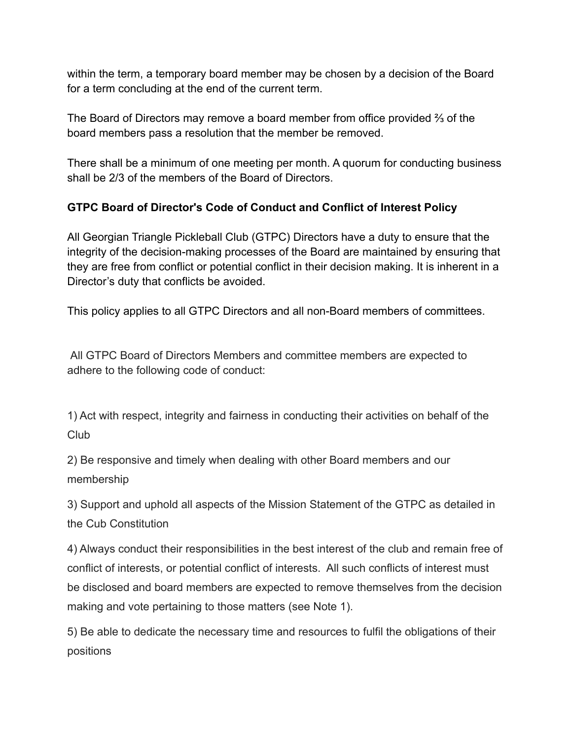within the term, a temporary board member may be chosen by a decision of the Board for a term concluding at the end of the current term.

The Board of Directors may remove a board member from office provided ⅔ of the board members pass a resolution that the member be removed.

There shall be a minimum of one meeting per month. A quorum for conducting business shall be 2/3 of the members of the Board of Directors.

# **GTPC Board of Director's Code of Conduct and Conflict of Interest Policy**

All Georgian Triangle Pickleball Club (GTPC) Directors have a duty to ensure that the integrity of the decision-making processes of the Board are maintained by ensuring that they are free from conflict or potential conflict in their decision making. It is inherent in a Director's duty that conflicts be avoided.

This policy applies to all GTPC Directors and all non-Board members of committees.

All GTPC Board of Directors Members and committee members are expected to adhere to the following code of conduct:

1) Act with respect, integrity and fairness in conducting their activities on behalf of the Club

2) Be responsive and timely when dealing with other Board members and our membership

3) Support and uphold all aspects of the Mission Statement of the GTPC as detailed in the Cub Constitution

4) Always conduct their responsibilities in the best interest of the club and remain free of conflict of interests, or potential conflict of interests. All such conflicts of interest must be disclosed and board members are expected to remove themselves from the decision making and vote pertaining to those matters (see Note 1).

5) Be able to dedicate the necessary time and resources to fulfil the obligations of their positions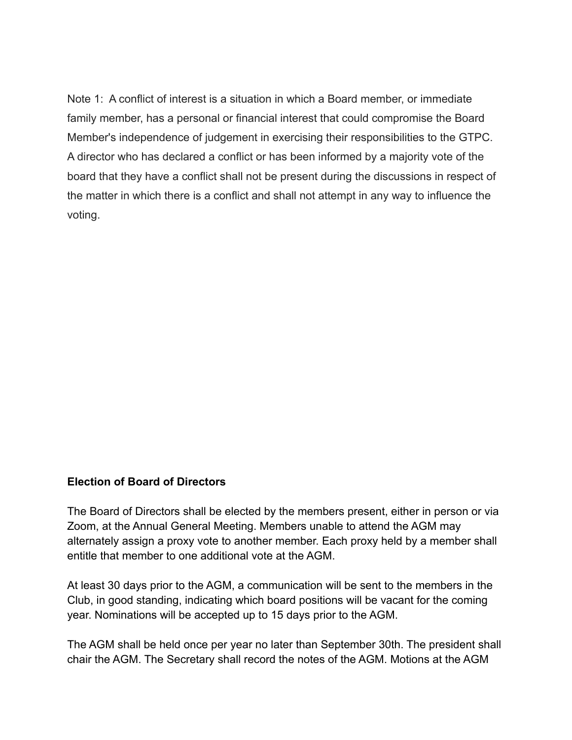Note 1: A conflict of interest is a situation in which a Board member, or immediate family member, has a personal or financial interest that could compromise the Board Member's independence of judgement in exercising their responsibilities to the GTPC. A director who has declared a conflict or has been informed by a majority vote of the board that they have a conflict shall not be present during the discussions in respect of the matter in which there is a conflict and shall not attempt in any way to influence the voting.

#### **Election of Board of Directors**

The Board of Directors shall be elected by the members present, either in person or via Zoom, at the Annual General Meeting. Members unable to attend the AGM may alternately assign a proxy vote to another member. Each proxy held by a member shall entitle that member to one additional vote at the AGM.

At least 30 days prior to the AGM, a communication will be sent to the members in the Club, in good standing, indicating which board positions will be vacant for the coming year. Nominations will be accepted up to 15 days prior to the AGM.

The AGM shall be held once per year no later than September 30th. The president shall chair the AGM. The Secretary shall record the notes of the AGM. Motions at the AGM